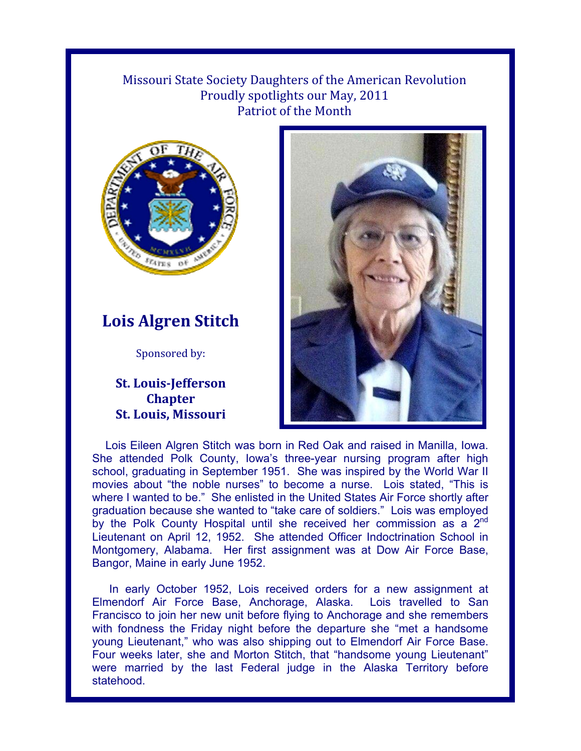## Missouri State Society Daughters of the American Revolution Proudly spotlights our May, 2011 Patriot of the Month



## **Lois Algren Stitch**

Sponsored by:

## **St. Louis-Jefferson Chapter St. Louis, Missouri**



Lois Eileen Algren Stitch was born in Red Oak and raised in Manilla, Iowa. She attended Polk County, Iowa's three-year nursing program after high school, graduating in September 1951. She was inspired by the World War II movies about "the noble nurses" to become a nurse. Lois stated, "This is where I wanted to be." She enlisted in the United States Air Force shortly after graduation because she wanted to "take care of soldiers." Lois was employed by the Polk County Hospital until she received her commission as a  $2<sup>nd</sup>$ Lieutenant on April 12, 1952. She attended Officer Indoctrination School in Montgomery, Alabama. Her first assignment was at Dow Air Force Base, Bangor, Maine in early June 1952.

In early October 1952, Lois received orders for a new assignment at Elmendorf Air Force Base, Anchorage, Alaska. Lois travelled to San Francisco to join her new unit before flying to Anchorage and she remembers with fondness the Friday night before the departure she "met a handsome young Lieutenant," who was also shipping out to Elmendorf Air Force Base. Four weeks later, she and Morton Stitch, that "handsome young Lieutenant" were married by the last Federal judge in the Alaska Territory before statehood.